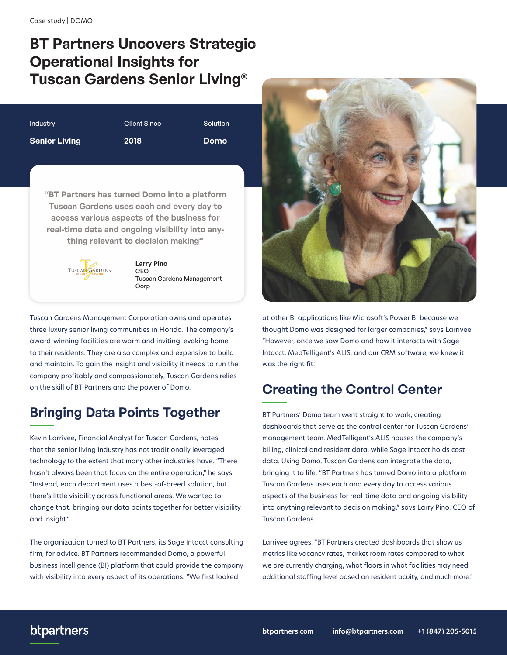# **BT Partners Uncovers Strategic Operational Insights for Tuscan Gardens Senior Living®**

| <b>Industry</b>      | <b>Client Since</b> | Solution    |
|----------------------|---------------------|-------------|
| <b>Senior Living</b> | 2018                | <b>Domo</b> |

**"BT Partners has turned Domo into a platform Tuscan Gardens uses each and every day to access various aspects of the business for real-time data and ongoing visibility into anything relevant to decision making"**



**Larry Pino CEO** Tuscan Gardens Management Corp

Tuscan Gardens Management Corporation owns and operates three luxury senior living communities in Florida. The company's award-winning facilities are warm and inviting, evoking home to their residents. They are also complex and expensive to build and maintain. To gain the insight and visibility it needs to run the company profitably and compassionately, Tuscan Gardens relies on the skill of BT Partners and the power of Domo.

## **Bringing Data Points Together**

Kevin Larrivee, Financial Analyst for Tuscan Gardens, notes that the senior living industry has not traditionally leveraged technology to the extent that many other industries have. "There hasn't always been that focus on the entire operation," he says. "Instead, each department uses a best-of-breed solution, but there's little visibility across functional areas. We wanted to change that, bringing our data points together for better visibility and insight."

The organization turned to BT Partners, its Sage Intacct consulting firm, for advice. BT Partners recommended Domo, a powerful business intelligence (BI) platform that could provide the company with visibility into every aspect of its operations. "We first looked



at other BI applications like Microsoft's Power BI because we thought Domo was designed for larger companies," says Larrivee. "However, once we saw Domo and how it interacts with Sage Intacct, MedTelligent's ALIS, and our CRM software, we knew it was the right fit."

### **Creating the Control Center**

BT Partners' Domo team went straight to work, creating dashboards that serve as the control center for Tuscan Gardens' management team. MedTelligent's ALIS houses the company's billing, clinical and resident data, while Sage Intacct holds cost data. Using Domo, Tuscan Gardens can integrate the data, bringing it to life. "BT Partners has turned Domo into a platform Tuscan Gardens uses each and every day to access various aspects of the business for real-time data and ongoing visibility into anything relevant to decision making," says Larry Pino, CEO of Tuscan Gardens.

Larrivee agrees, "BT Partners created dashboards that show us metrics like vacancy rates, market room rates compared to what we are currently charging, what floors in what facilities may need additional staffing level based on resident acuity, and much more."